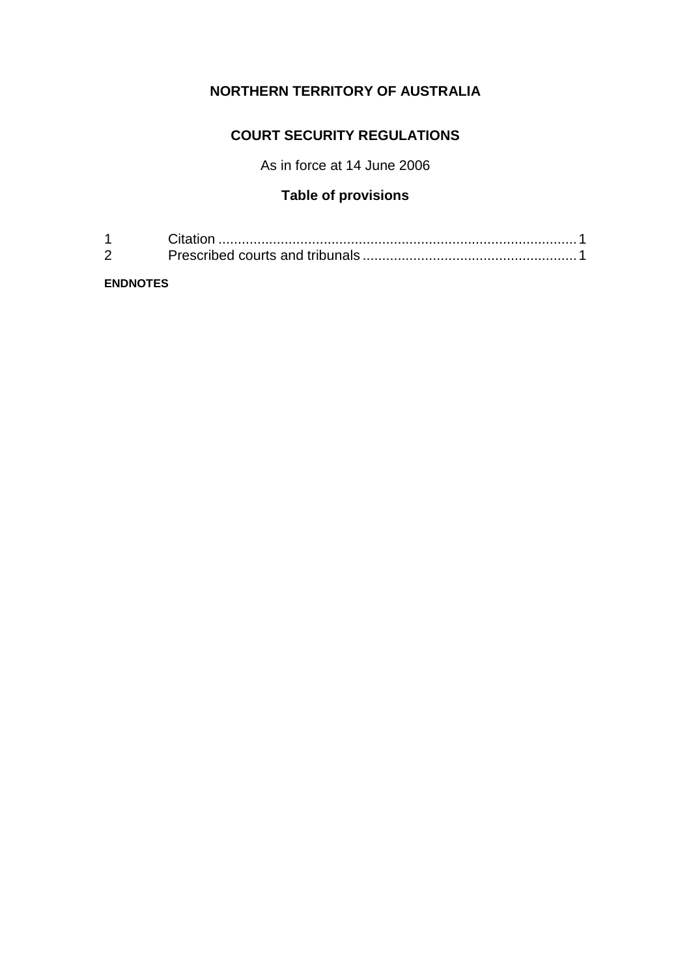# **NORTHERN TERRITORY OF AUSTRALIA**

### **COURT SECURITY REGULATIONS**

As in force at 14 June 2006

## **Table of provisions**

**ENDNOTES**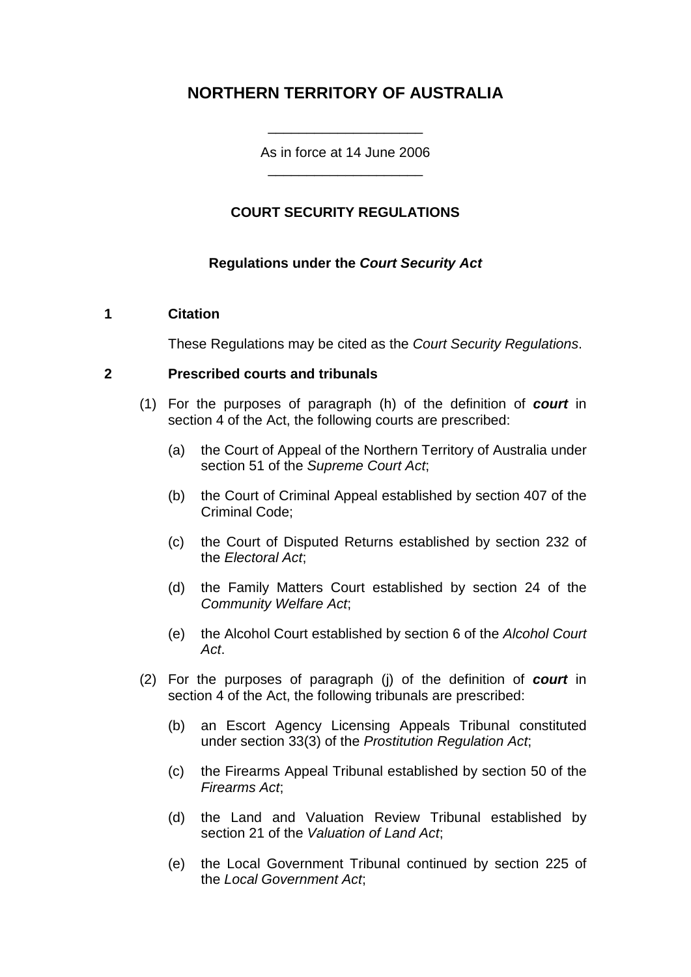# **NORTHERN TERRITORY OF AUSTRALIA**

As in force at 14 June 2006 \_\_\_\_\_\_\_\_\_\_\_\_\_\_\_\_\_\_\_\_

\_\_\_\_\_\_\_\_\_\_\_\_\_\_\_\_\_\_\_\_

### **COURT SECURITY REGULATIONS**

#### **Regulations under the** *Court Security Act*

#### **1 Citation**

These Regulations may be cited as the *Court Security Regulations*.

#### **2 Prescribed courts and tribunals**

- (1) For the purposes of paragraph (h) of the definition of *court* in section 4 of the Act, the following courts are prescribed:
	- (a) the Court of Appeal of the Northern Territory of Australia under section 51 of the *Supreme Court Act*;
	- (b) the Court of Criminal Appeal established by section 407 of the Criminal Code;
	- (c) the Court of Disputed Returns established by section 232 of the *Electoral Act*;
	- (d) the Family Matters Court established by section 24 of the *Community Welfare Act*;
	- (e) the Alcohol Court established by section 6 of the *Alcohol Court Act*.
- (2) For the purposes of paragraph (j) of the definition of *court* in section 4 of the Act, the following tribunals are prescribed:
	- (b) an Escort Agency Licensing Appeals Tribunal constituted under section 33(3) of the *Prostitution Regulation Act*;
	- (c) the Firearms Appeal Tribunal established by section 50 of the *Firearms Act*;
	- (d) the Land and Valuation Review Tribunal established by section 21 of the *Valuation of Land Act*;
	- (e) the Local Government Tribunal continued by section 225 of the *Local Government Act*;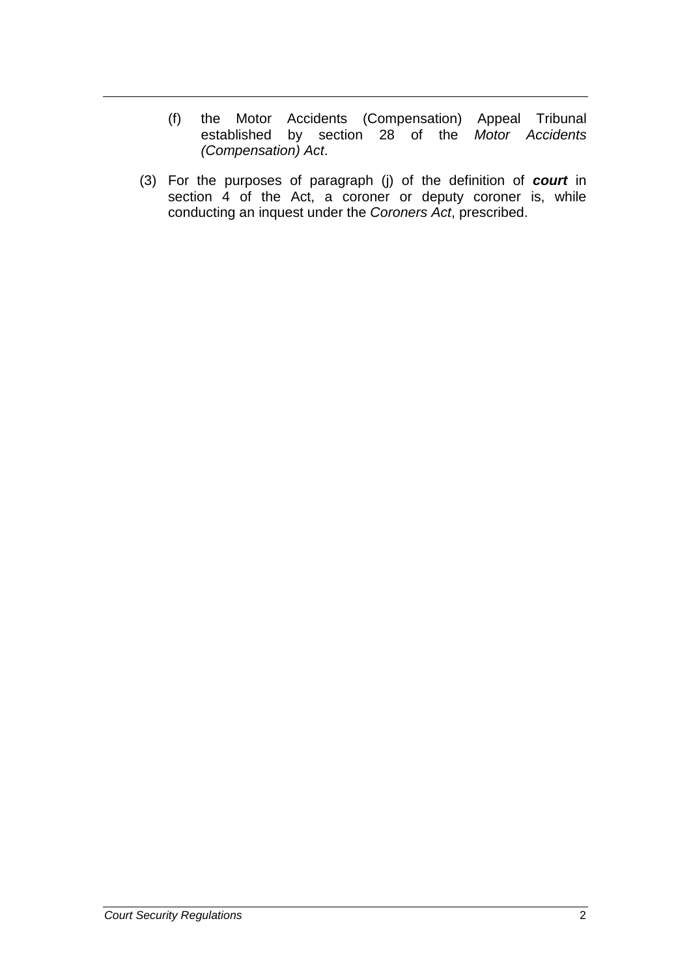- (f) the Motor Accidents (Compensation) Appeal Tribunal established by section 28 of the *Motor Accidents (Compensation) Act*.
- (3) For the purposes of paragraph (j) of the definition of *court* in section 4 of the Act, a coroner or deputy coroner is, while conducting an inquest under the *Coroners Act*, prescribed.